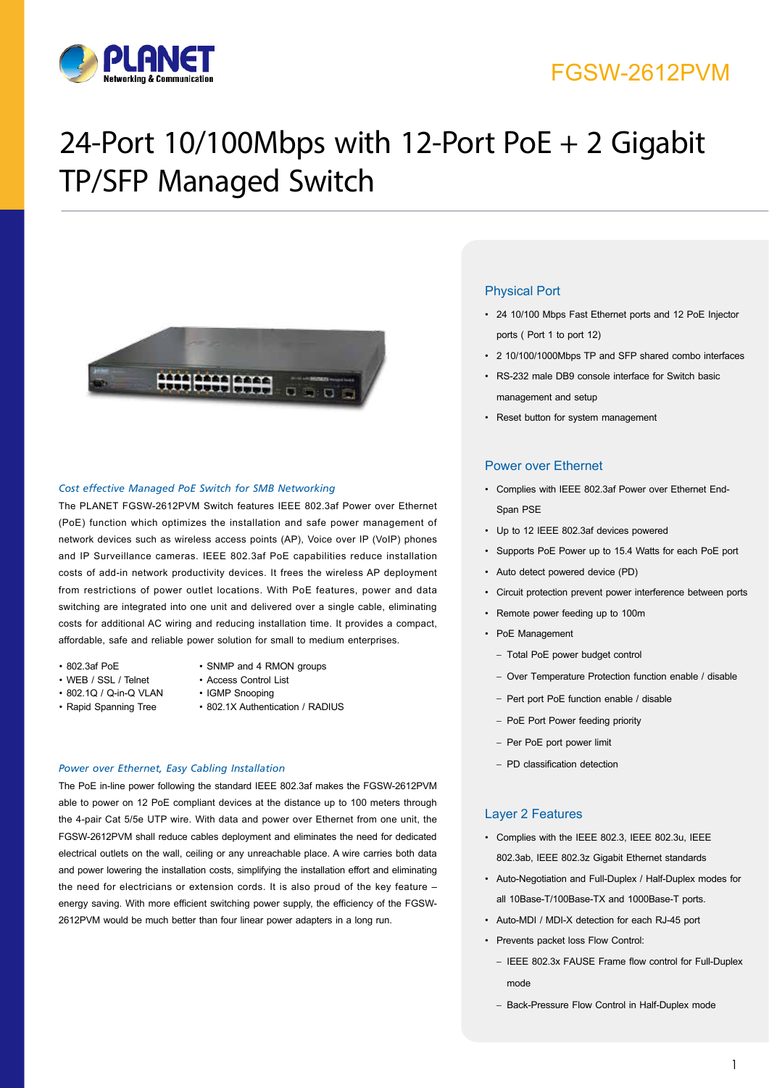

# FGSW-2612PVM

# 24-Port 10/100Mbps with 12-Port PoE + 2 Gigabit TP/SFP Managed Switch



#### *Cost effective Managed PoE Switch for SMB Networking*

The PLANET FGSW-2612PVM Switch features IEEE 802.3af Power over Ethernet (PoE) function which optimizes the installation and safe power management of network devices such as wireless access points (AP), Voice over IP (VoIP) phones and IP Surveillance cameras. IEEE 802.3af PoE capabilities reduce installation costs of add-in network productivity devices. It frees the wireless AP deployment from restrictions of power outlet locations. With PoE features, power and data switching are integrated into one unit and delivered over a single cable, eliminating costs for additional AC wiring and reducing installation time. It provides a compact, affordable, safe and reliable power solution for small to medium enterprises.

- 
- WEB / SSL / Telnet Access Control List
- 802.1Q / Q-in-Q VLAN IGMP Snooping
- 
- 802.3af PoE SNMP and 4 RMON groups
	-
	-
- Rapid Spanning Tree 802.1X Authentication / RADIUS

#### *Power over Ethernet, Easy Cabling Installation*

The PoE in-line power following the standard IEEE 802.3af makes the FGSW-2612PVM able to power on 12 PoE compliant devices at the distance up to 100 meters through the 4-pair Cat 5/5e UTP wire. With data and power over Ethernet from one unit, the FGSW-2612PVM shall reduce cables deployment and eliminates the need for dedicated electrical outlets on the wall, ceiling or any unreachable place. A wire carries both data and power lowering the installation costs, simplifying the installation effort and eliminating the need for electricians or extension cords. It is also proud of the key feature – energy saving. With more efficient switching power supply, the efficiency of the FGSW-2612PVM would be much better than four linear power adapters in a long run.

## Physical Port

- • 24 10/100 Mbps Fast Ethernet ports and 12 PoE Injector ports ( Port 1 to port 12)
- • 2 10/100/1000Mbps TP and SFP shared combo interfaces
- • RS-232 male DB9 console interface for Switch basic management and setup
- • Reset button for system management

#### Power over Ethernet

- • Complies with IEEE 802.3af Power over Ethernet End-Span PSE
- • Up to 12 IEEE 802.3af devices powered
- • Supports PoE Power up to 15.4 Watts for each PoE port
- • Auto detect powered device (PD)
- • Circuit protection prevent power interference between ports
- • Remote power feeding up to 100m
- PoE Management
	- Total PoE power budget control
	- Over Temperature Protection function enable / disable
	- Pert port PoE function enable / disable
	- PoE Port Power feeding priority
	- Per PoE port power limit
	- PD classification detection

#### Layer 2 Features

- • Complies with the IEEE 802.3, IEEE 802.3u, IEEE 802.3ab, IEEE 802.3z Gigabit Ethernet standards
- • Auto-Negotiation and Full-Duplex / Half-Duplex modes for all 10Base-T/100Base-TX and 1000Base-T ports.
- • Auto-MDI / MDI-X detection for each RJ-45 port
- • Prevents packet loss Flow Control:
	- IEEE 802.3x FAUSE Frame flow control for Full-Duplex mode
	- Back-Pressure Flow Control in Half-Duplex mode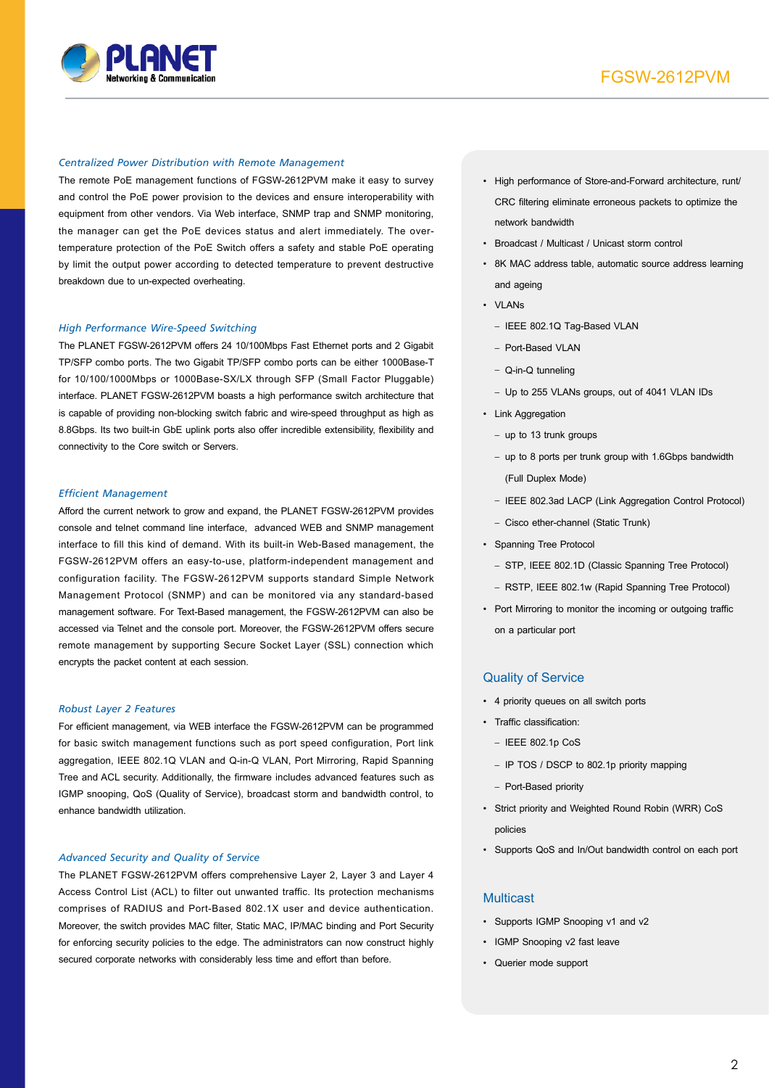

#### *Centralized Power Distribution with Remote Management*

The remote PoE management functions of FGSW-2612PVM make it easy to survey and control the PoE power provision to the devices and ensure interoperability with equipment from other vendors. Via Web interface, SNMP trap and SNMP monitoring, the manager can get the PoE devices status and alert immediately. The overtemperature protection of the PoE Switch offers a safety and stable PoE operating by limit the output power according to detected temperature to prevent destructive breakdown due to un-expected overheating.

#### *High Performance Wire-Speed Switching*

The PLANET FGSW-2612PVM offers 24 10/100Mbps Fast Ethernet ports and 2 Gigabit TP/SFP combo ports. The two Gigabit TP/SFP combo ports can be either 1000Base-T for 10/100/1000Mbps or 1000Base-SX/LX through SFP (Small Factor Pluggable) interface. PLANET FGSW-2612PVM boasts a high performance switch architecture that is capable of providing non-blocking switch fabric and wire-speed throughput as high as 8.8Gbps. Its two built-in GbE uplink ports also offer incredible extensibility, flexibility and connectivity to the Core switch or Servers.

#### *Efficient Management*

Afford the current network to grow and expand, the PLANET FGSW-2612PVM provides console and telnet command line interface, advanced WEB and SNMP management interface to fill this kind of demand. With its built-in Web-Based management, the FGSW-2612PVM offers an easy-to-use, platform-independent management and configuration facility. The FGSW-2612PVM supports standard Simple Network Management Protocol (SNMP) and can be monitored via any standard-based management software. For Text-Based management, the FGSW-2612PVM can also be accessed via Telnet and the console port. Moreover, the FGSW-2612PVM offers secure remote management by supporting Secure Socket Layer (SSL) connection which encrypts the packet content at each session.

#### *Robust Layer 2 Features*

For efficient management, via WEB interface the FGSW-2612PVM can be programmed for basic switch management functions such as port speed configuration, Port link aggregation, IEEE 802.1Q VLAN and Q-in-Q VLAN, Port Mirroring, Rapid Spanning Tree and ACL security. Additionally, the firmware includes advanced features such as IGMP snooping, QoS (Quality of Service), broadcast storm and bandwidth control, to enhance bandwidth utilization.

#### *Advanced Security and Quality of Service*

The PLANET FGSW-2612PVM offers comprehensive Layer 2, Layer 3 and Layer 4 Access Control List (ACL) to filter out unwanted traffic. Its protection mechanisms comprises of RADIUS and Port-Based 802.1X user and device authentication. Moreover, the switch provides MAC filter, Static MAC, IP/MAC binding and Port Security for enforcing security policies to the edge. The administrators can now construct highly secured corporate networks with considerably less time and effort than before.

- • High performance of Store-and-Forward architecture, runt/ CRC filtering eliminate erroneous packets to optimize the network bandwidth
- • Broadcast / Multicast / Unicast storm control
- • 8K MAC address table, automatic source address learning and ageing
- • VLANs
	- IEEE 802.1Q Tag-Based VLAN
	- Port-Based VLAN
	- Q-in-Q tunneling
	- Up to 255 VLANs groups, out of 4041 VLAN IDs
- Link Aggregation
	- up to 13 trunk groups
	- up to 8 ports per trunk group with 1.6Gbps bandwidth (Full Duplex Mode)
	- IEEE 802.3ad LACP (Link Aggregation Control Protocol)
	- Cisco ether-channel (Static Trunk)
- • Spanning Tree Protocol
	- STP, IEEE 802.1D (Classic Spanning Tree Protocol)
	- RSTP, IEEE 802.1w (Rapid Spanning Tree Protocol)
- Port Mirroring to monitor the incoming or outgoing traffic on a particular port

#### Quality of Service

- • 4 priority queues on all switch ports
- • Traffic classification:
	- IEEE 802.1p CoS
	- IP TOS / DSCP to 802.1p priority mapping
	- Port-Based priority
- • Strict priority and Weighted Round Robin (WRR) CoS policies
- • Supports QoS and In/Out bandwidth control on each port

## **Multicast**

- Supports IGMP Snooping v1 and v2
- IGMP Snooping v2 fast leave
- • Querier mode support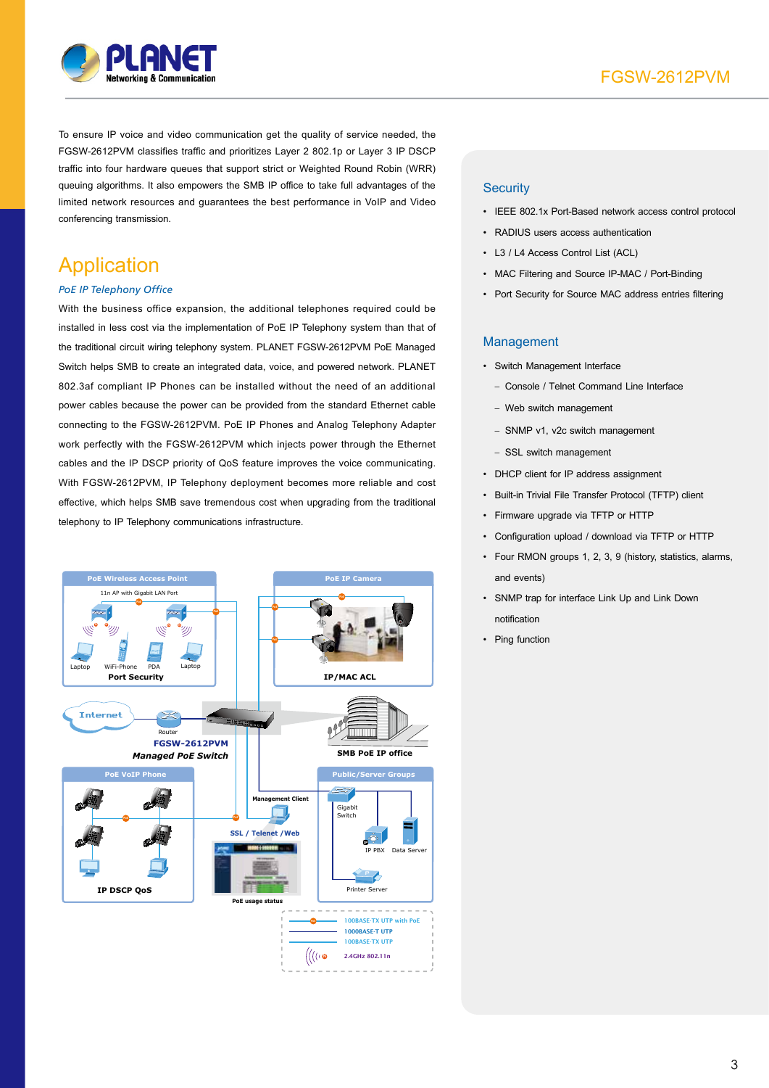

To ensure IP voice and video communication get the quality of service needed, the FGSW-2612PVM classifies traffic and prioritizes Layer 2 802.1p or Layer 3 IP DSCP traffic into four hardware queues that support strict or Weighted Round Robin (WRR) queuing algorithms. It also empowers the SMB IP office to take full advantages of the limited network resources and guarantees the best performance in VoIP and Video conferencing transmission.

## Application

## *PoE IP Telephony Office*

With the business office expansion, the additional telephones required could be installed in less cost via the implementation of PoE IP Telephony system than that of the traditional circuit wiring telephony system. PLANET FGSW-2612PVM PoE Managed Switch helps SMB to create an integrated data, voice, and powered network. PLANET 802.3af compliant IP Phones can be installed without the need of an additional power cables because the power can be provided from the standard Ethernet cable connecting to the FGSW-2612PVM. PoE IP Phones and Analog Telephony Adapter work perfectly with the FGSW-2612PVM which injects power through the Ethernet cables and the IP DSCP priority of QoS feature improves the voice communicating. With FGSW-2612PVM, IP Telephony deployment becomes more reliable and cost effective, which helps SMB save tremendous cost when upgrading from the traditional telephony to IP Telephony communications infrastructure.



## **Security**

- • IEEE 802.1x Port-Based network access control protocol
- • RADIUS users access authentication
- • L3 / L4 Access Control List (ACL)
- MAC Filtering and Source IP-MAC / Port-Binding
- Port Security for Source MAC address entries filtering

### Management

- • Switch Management Interface
	- Console / Telnet Command Line Interface
	- Web switch management
	- SNMP v1, v2c switch management
	- SSL switch management
- • DHCP client for IP address assignment
- • Built-in Trivial File Transfer Protocol (TFTP) client
- • Firmware upgrade via TFTP or HTTP
- • Configuration upload / download via TFTP or HTTP
- • Four RMON groups 1, 2, 3, 9 (history, statistics, alarms, and events)
- • SNMP trap for interface Link Up and Link Down notification
- Ping function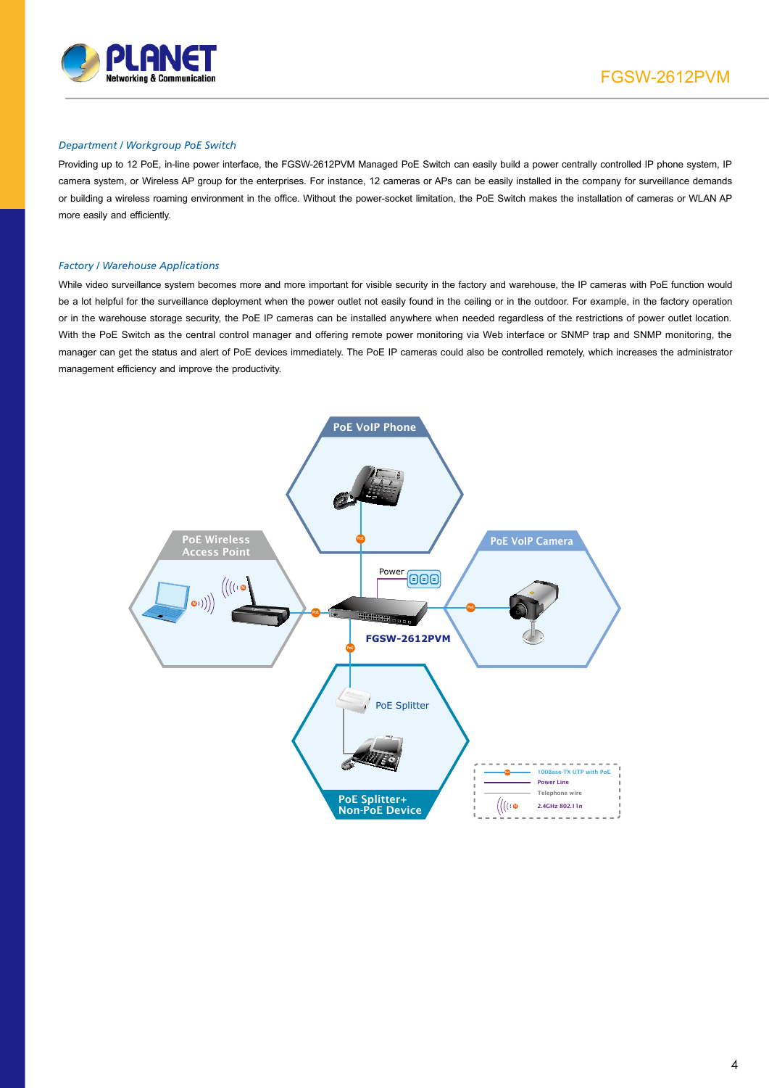

### *Department / Workgroup PoE Switch*

Providing up to 12 PoE, in-line power interface, the FGSW-2612PVM Managed PoE Switch can easily build a power centrally controlled IP phone system, IP camera system, or Wireless AP group for the enterprises. For instance, 12 cameras or APs can be easily installed in the company for surveillance demands or building a wireless roaming environment in the office. Without the power-socket limitation, the PoE Switch makes the installation of cameras or WLAN AP more easily and efficiently.

#### *Factory / Warehouse Applications*

While video surveillance system becomes more and more important for visible security in the factory and warehouse, the IP cameras with PoE function would be a lot helpful for the surveillance deployment when the power outlet not easily found in the ceiling or in the outdoor. For example, in the factory operation or in the warehouse storage security, the PoE IP cameras can be installed anywhere when needed regardless of the restrictions of power outlet location. With the PoE Switch as the central control manager and offering remote power monitoring via Web interface or SNMP trap and SNMP monitoring, the manager can get the status and alert of PoE devices immediately. The PoE IP cameras could also be controlled remotely, which increases the administrator management efficiency and improve the productivity.

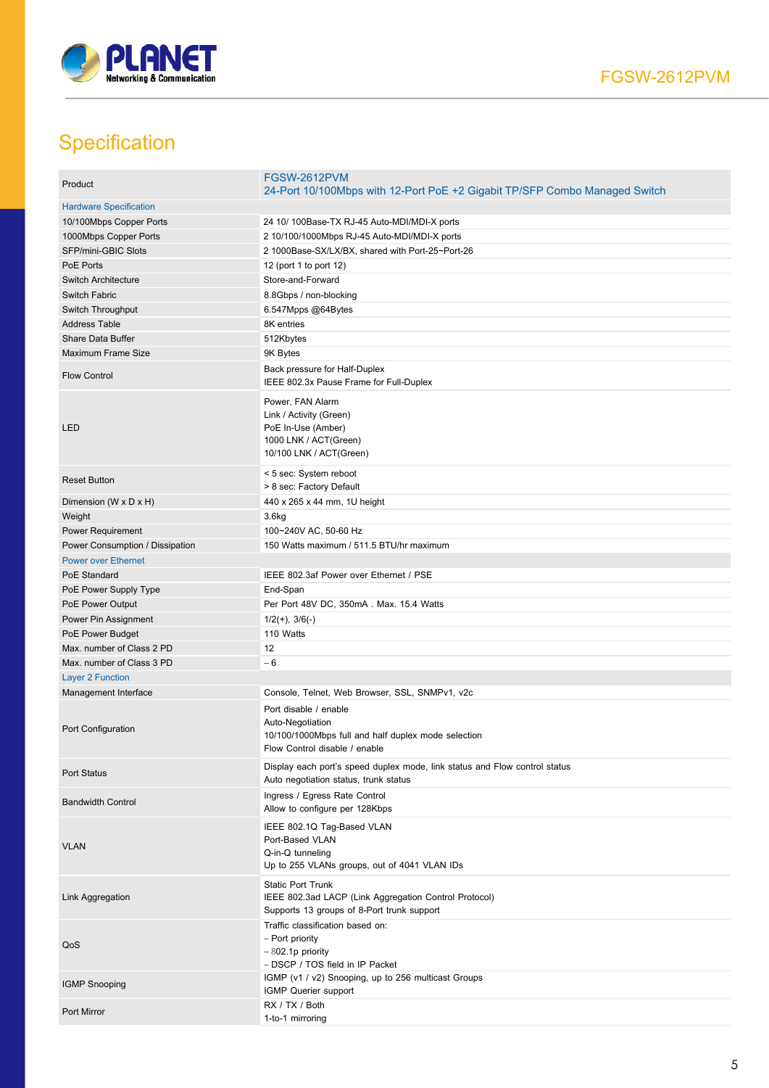

# **Specification**

| Product                         | FGSW-2612PVM<br>24-Port 10/100Mbps with 12-Port PoE +2 Gigabit TP/SFP Combo Managed Switch                                        |
|---------------------------------|-----------------------------------------------------------------------------------------------------------------------------------|
| <b>Hardware Specification</b>   |                                                                                                                                   |
| 10/100Mbps Copper Ports         | 24 10/ 100Base-TX RJ-45 Auto-MDI/MDI-X ports                                                                                      |
| 1000Mbps Copper Ports           | 2 10/100/1000Mbps RJ-45 Auto-MDI/MDI-X ports                                                                                      |
| SFP/mini-GBIC Slots             | 2 1000Base-SX/LX/BX, shared with Port-25~Port-26                                                                                  |
| PoE Ports                       | 12 (port 1 to port 12)                                                                                                            |
| <b>Switch Architecture</b>      | Store-and-Forward                                                                                                                 |
| Switch Fabric                   | 8.8Gbps / non-blocking                                                                                                            |
| Switch Throughput               | 6.547Mpps @64Bytes                                                                                                                |
| <b>Address Table</b>            | 8K entries                                                                                                                        |
| Share Data Buffer               | 512Kbytes                                                                                                                         |
| Maximum Frame Size              | 9K Bytes                                                                                                                          |
| <b>Flow Control</b>             | Back pressure for Half-Duplex<br>IEEE 802.3x Pause Frame for Full-Duplex                                                          |
| LED                             | Power, FAN Alarm<br>Link / Activity (Green)<br>PoE In-Use (Amber)<br>1000 LNK / ACT(Green)<br>10/100 LNK / ACT(Green)             |
| <b>Reset Button</b>             | < 5 sec: System reboot<br>> 8 sec: Factory Default                                                                                |
| Dimension (W x D x H)           | 440 x 265 x 44 mm, 1U height                                                                                                      |
| Weight                          | 3.6 <sub>kg</sub>                                                                                                                 |
| Power Requirement               | 100~240V AC, 50-60 Hz                                                                                                             |
| Power Consumption / Dissipation | 150 Watts maximum / 511.5 BTU/hr maximum                                                                                          |
| <b>Power over Ethernet</b>      |                                                                                                                                   |
| PoE Standard                    | IEEE 802.3af Power over Ethernet / PSE                                                                                            |
| PoE Power Supply Type           | End-Span                                                                                                                          |
| PoE Power Output                | Per Port 48V DC, 350mA. Max. 15.4 Watts                                                                                           |
| Power Pin Assignment            | $1/2(+), 3/6(-)$                                                                                                                  |
| PoE Power Budget                | 110 Watts                                                                                                                         |
| Max. number of Class 2 PD       | 12                                                                                                                                |
| Max. number of Class 3 PD       | $-6$                                                                                                                              |
| <b>Layer 2 Function</b>         |                                                                                                                                   |
| Management Interface            | Console, Telnet, Web Browser, SSL, SNMPv1, v2c                                                                                    |
| Port Configuration              | Port disable / enable<br>Auto-Negotiation<br>10/100/1000Mbps full and half duplex mode selection<br>Flow Control disable / enable |
| <b>Port Status</b>              | Display each port's speed duplex mode, link status and Flow control status<br>Auto negotiation status, trunk status               |
| <b>Bandwidth Control</b>        | Ingress / Egress Rate Control<br>Allow to configure per 128Kbps                                                                   |
| <b>VLAN</b>                     | IEEE 802.1Q Tag-Based VLAN<br>Port-Based VLAN<br>Q-in-Q tunneling<br>Up to 255 VLANs groups, out of 4041 VLAN IDs                 |
| Link Aggregation                | <b>Static Port Trunk</b><br>IEEE 802.3ad LACP (Link Aggregation Control Protocol)<br>Supports 13 groups of 8-Port trunk support   |
| QoS                             | Traffic classification based on:<br>- Port priority<br>$-802.1p$ priority<br>- DSCP / TOS field in IP Packet                      |
| <b>IGMP Snooping</b>            | IGMP (v1 / v2) Snooping, up to 256 multicast Groups<br>IGMP Querier support                                                       |
| Port Mirror                     | RX / TX / Both<br>1-to-1 mirroring                                                                                                |